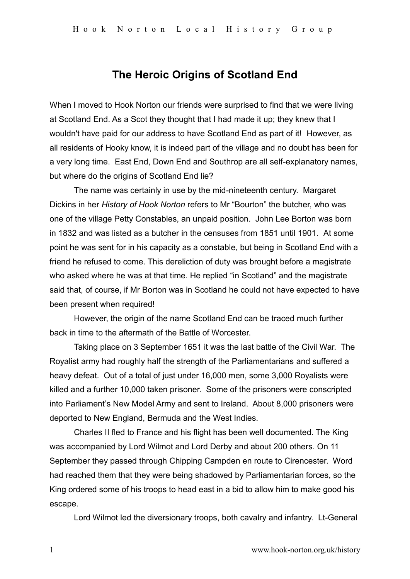## **The Heroic Origins of Scotland End**

When I moved to Hook Norton our friends were surprised to find that we were living at Scotland End. As a Scot they thought that I had made it up; they knew that I wouldn't have paid for our address to have Scotland End as part of it! However, as all residents of Hooky know, it is indeed part of the village and no doubt has been for a very long time. East End, Down End and Southrop are all self-explanatory names, but where do the origins of Scotland End lie?

The name was certainly in use by the mid-nineteenth century. Margaret Dickins in her *History of Hook Norton* refers to Mr "Bourton" the butcher, who was one of the village Petty Constables, an unpaid position. John Lee Borton was born in 1832 and was listed as a butcher in the censuses from 1851 until 1901. At some point he was sent for in his capacity as a constable, but being in Scotland End with a friend he refused to come. This dereliction of duty was brought before a magistrate who asked where he was at that time. He replied "in Scotland" and the magistrate said that, of course, if Mr Borton was in Scotland he could not have expected to have been present when required!

However, the origin of the name Scotland End can be traced much further back in time to the aftermath of the Battle of Worcester.

Taking place on 3 September 1651 it was the last battle of the Civil War. The Royalist army had roughly half the strength of the Parliamentarians and suffered a heavy defeat. Out of a total of just under 16,000 men, some 3,000 Royalists were killed and a further 10,000 taken prisoner. Some of the prisoners were conscripted into Parliament's New Model Army and sent to Ireland. About 8,000 prisoners were deported to New England, Bermuda and the West Indies.

Charles II fled to France and his flight has been well documented. The King was accompanied by Lord Wilmot and Lord Derby and about 200 others. On 11 September they passed through Chipping Campden en route to Cirencester. Word had reached them that they were being shadowed by Parliamentarian forces, so the King ordered some of his troops to head east in a bid to allow him to make good his escape.

Lord Wilmot led the diversionary troops, both cavalry and infantry. Lt-General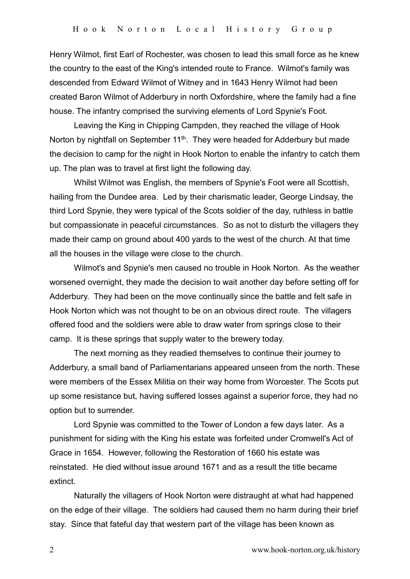Henry Wilmot, first Earl of Rochester, was chosen to lead this small force as he knew the country to the east of the King's intended route to France. Wilmot's family was descended from Edward Wilmot of Witney and in 1643 Henry Wilmot had been created Baron Wilmot of Adderbury in north Oxfordshire, where the family had a fine house. The infantry comprised the surviving elements of Lord Spynie's Foot.

Leaving the King in Chipping Campden, they reached the village of Hook Norton by nightfall on September 11<sup>th</sup>. They were headed for Adderbury but made the decision to camp for the night in Hook Norton to enable the infantry to catch them up. The plan was to travel at first light the following day.

Whilst Wilmot was English, the members of Spynie's Foot were all Scottish, hailing from the Dundee area. Led by their charismatic leader, George Lindsay, the third Lord Spynie, they were typical of the Scots soldier of the day, ruthless in battle but compassionate in peaceful circumstances. So as not to disturb the villagers they made their camp on ground about 400 yards to the west of the church. At that time all the houses in the village were close to the church.

Wilmot's and Spynie's men caused no trouble in Hook Norton. As the weather worsened overnight, they made the decision to wait another day before setting off for Adderbury. They had been on the move continually since the battle and felt safe in Hook Norton which was not thought to be on an obvious direct route. The villagers offered food and the soldiers were able to draw water from springs close to their camp. It is these springs that supply water to the brewery today.

The next morning as they readied themselves to continue their journey to Adderbury, a small band of Parliamentarians appeared unseen from the north. These were members of the Essex Militia on their way home from Worcester. The Scots put up some resistance but, having suffered losses against a superior force, they had no option but to surrender.

Lord Spynie was committed to the Tower of London a few days later. As a punishment for siding with the King his estate was forfeited under Cromwell's Act of Grace in 1654. However, following the Restoration of 1660 his estate was reinstated. He died without issue around 1671 and as a result the title became extinct.

Naturally the villagers of Hook Norton were distraught at what had happened on the edge of their village. The soldiers had caused them no harm during their brief stay. Since that fateful day that western part of the village has been known as